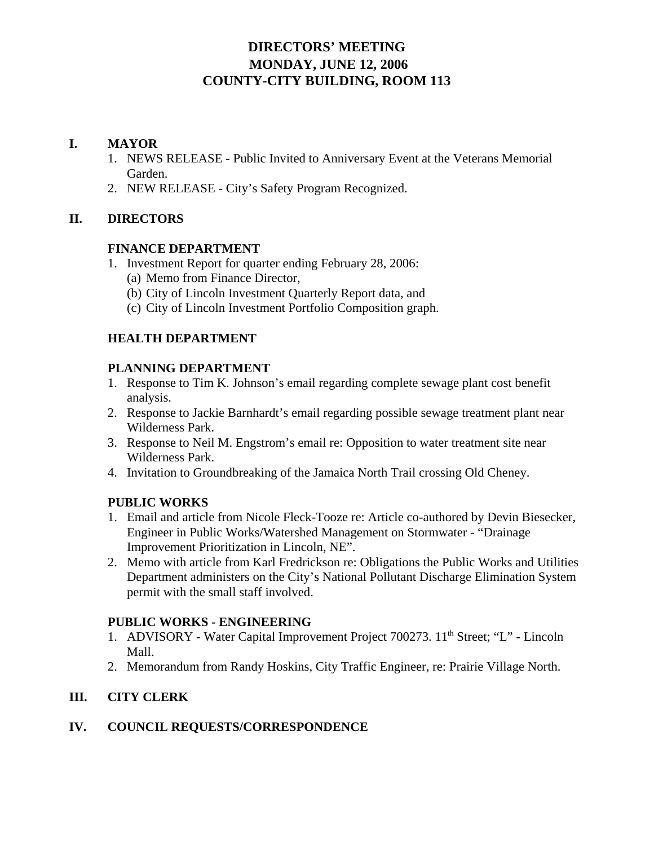# **DIRECTORS' MEETING MONDAY, JUNE 12, 2006 COUNTY-CITY BUILDING, ROOM 113**

## **I. MAYOR**

- 1. NEWS RELEASE Public Invited to Anniversary Event at the Veterans Memorial Garden.
- 2. NEW RELEASE City's Safety Program Recognized.

## **II. DIRECTORS**

#### **FINANCE DEPARTMENT**

- 1. Investment Report for quarter ending February 28, 2006:
	- (a) Memo from Finance Director,
	- (b) City of Lincoln Investment Quarterly Report data, and
	- (c) City of Lincoln Investment Portfolio Composition graph.

## **HEALTH DEPARTMENT**

## **PLANNING DEPARTMENT**

- 1. Response to Tim K. Johnson's email regarding complete sewage plant cost benefit analysis.
- 2. Response to Jackie Barnhardt's email regarding possible sewage treatment plant near Wilderness Park.
- 3. Response to Neil M. Engstrom's email re: Opposition to water treatment site near Wilderness Park.
- 4. Invitation to Groundbreaking of the Jamaica North Trail crossing Old Cheney.

## **PUBLIC WORKS**

- 1. Email and article from Nicole Fleck-Tooze re: Article co-authored by Devin Biesecker, Engineer in Public Works/Watershed Management on Stormwater - "Drainage Improvement Prioritization in Lincoln, NE".
- 2. Memo with article from Karl Fredrickson re: Obligations the Public Works and Utilities Department administers on the City's National Pollutant Discharge Elimination System permit with the small staff involved.

## **PUBLIC WORKS - ENGINEERING**

- 1. ADVISORY Water Capital Improvement Project 700273. 11<sup>th</sup> Street; "L" Lincoln Mall.
- 2. Memorandum from Randy Hoskins, City Traffic Engineer, re: Prairie Village North.

# **III. CITY CLERK**

## **IV. COUNCIL REQUESTS/CORRESPONDENCE**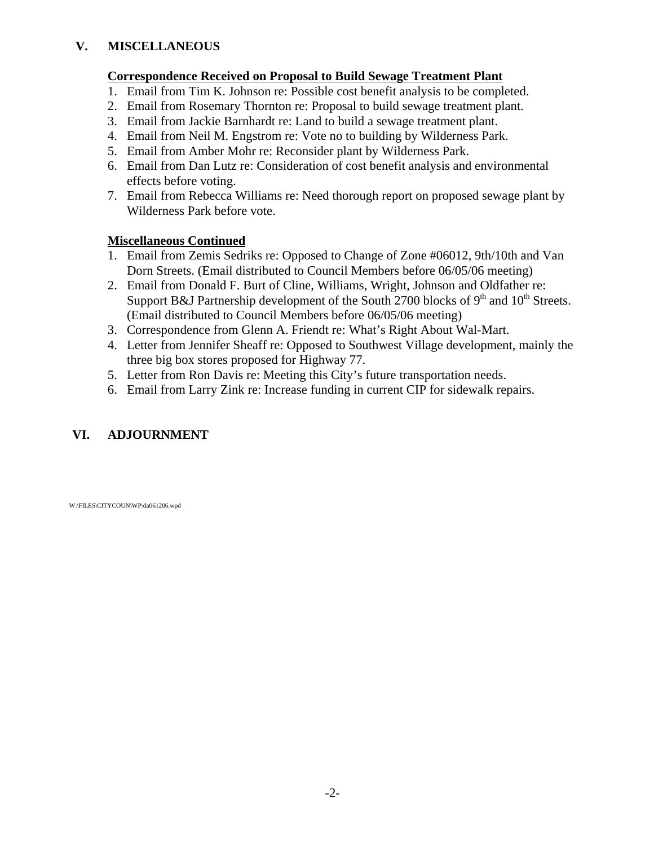## **V. MISCELLANEOUS**

## **Correspondence Received on Proposal to Build Sewage Treatment Plant**

- 1. Email from Tim K. Johnson re: Possible cost benefit analysis to be completed.
- 2. Email from Rosemary Thornton re: Proposal to build sewage treatment plant.
- 3. Email from Jackie Barnhardt re: Land to build a sewage treatment plant.
- 4. Email from Neil M. Engstrom re: Vote no to building by Wilderness Park.
- 5. Email from Amber Mohr re: Reconsider plant by Wilderness Park.
- 6. Email from Dan Lutz re: Consideration of cost benefit analysis and environmental effects before voting.
- 7. Email from Rebecca Williams re: Need thorough report on proposed sewage plant by Wilderness Park before vote.

## **Miscellaneous Continued**

- 1. Email from Zemis Sedriks re: Opposed to Change of Zone #06012, 9th/10th and Van Dorn Streets. (Email distributed to Council Members before 06/05/06 meeting)
- 2. Email from Donald F. Burt of Cline, Williams, Wright, Johnson and Oldfather re: Support B&J Partnership development of the South 2700 blocks of  $9<sup>th</sup>$  and  $10<sup>th</sup>$  Streets. (Email distributed to Council Members before 06/05/06 meeting)
- 3. Correspondence from Glenn A. Friendt re: What's Right About Wal-Mart.
- 4. Letter from Jennifer Sheaff re: Opposed to Southwest Village development, mainly the three big box stores proposed for Highway 77.
- 5. Letter from Ron Davis re: Meeting this City's future transportation needs.
- 6. Email from Larry Zink re: Increase funding in current CIP for sidewalk repairs.

# **VI. ADJOURNMENT**

W:\FILES\CITYCOUN\WP\da061206.wpd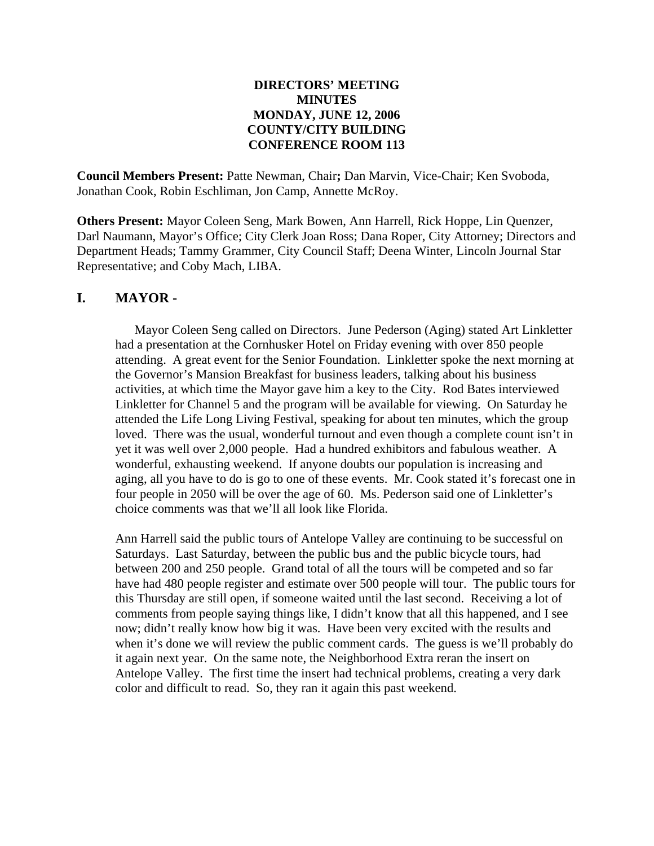## **DIRECTORS' MEETING MINUTES MONDAY, JUNE 12, 2006 COUNTY/CITY BUILDING CONFERENCE ROOM 113**

**Council Members Present:** Patte Newman, Chair**;** Dan Marvin, Vice-Chair; Ken Svoboda, Jonathan Cook, Robin Eschliman, Jon Camp, Annette McRoy.

**Others Present:** Mayor Coleen Seng, Mark Bowen, Ann Harrell, Rick Hoppe, Lin Quenzer, Darl Naumann, Mayor's Office; City Clerk Joan Ross; Dana Roper, City Attorney; Directors and Department Heads; Tammy Grammer, City Council Staff; Deena Winter, Lincoln Journal Star Representative; and Coby Mach, LIBA.

# **I. MAYOR -**

Mayor Coleen Seng called on Directors. June Pederson (Aging) stated Art Linkletter had a presentation at the Cornhusker Hotel on Friday evening with over 850 people attending. A great event for the Senior Foundation. Linkletter spoke the next morning at the Governor's Mansion Breakfast for business leaders, talking about his business activities, at which time the Mayor gave him a key to the City. Rod Bates interviewed Linkletter for Channel 5 and the program will be available for viewing. On Saturday he attended the Life Long Living Festival, speaking for about ten minutes, which the group loved. There was the usual, wonderful turnout and even though a complete count isn't in yet it was well over 2,000 people. Had a hundred exhibitors and fabulous weather. A wonderful, exhausting weekend. If anyone doubts our population is increasing and aging, all you have to do is go to one of these events. Mr. Cook stated it's forecast one in four people in 2050 will be over the age of 60. Ms. Pederson said one of Linkletter's choice comments was that we'll all look like Florida.

Ann Harrell said the public tours of Antelope Valley are continuing to be successful on Saturdays. Last Saturday, between the public bus and the public bicycle tours, had between 200 and 250 people. Grand total of all the tours will be competed and so far have had 480 people register and estimate over 500 people will tour. The public tours for this Thursday are still open, if someone waited until the last second. Receiving a lot of comments from people saying things like, I didn't know that all this happened, and I see now; didn't really know how big it was. Have been very excited with the results and when it's done we will review the public comment cards. The guess is we'll probably do it again next year. On the same note, the Neighborhood Extra reran the insert on Antelope Valley. The first time the insert had technical problems, creating a very dark color and difficult to read. So, they ran it again this past weekend.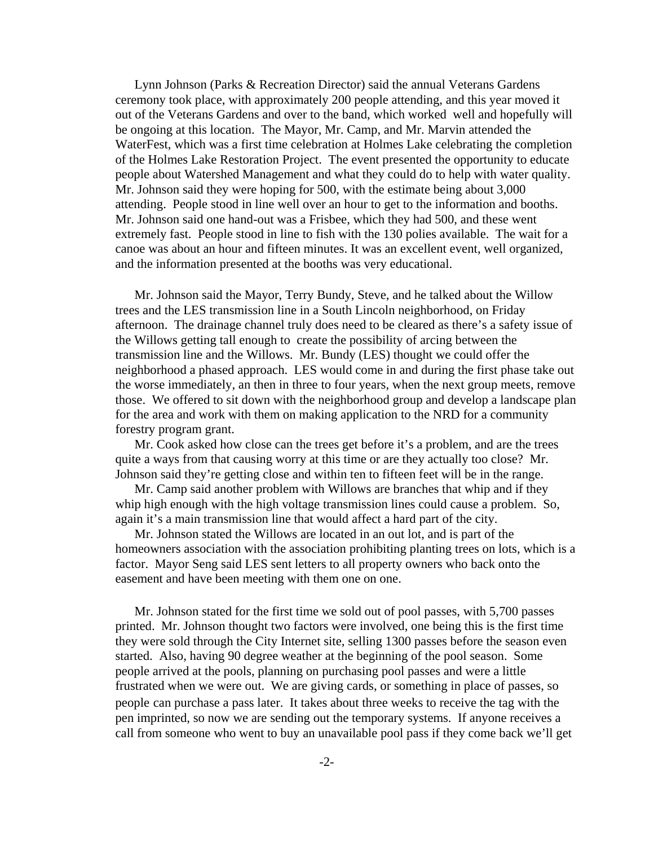Lynn Johnson (Parks & Recreation Director) said the annual Veterans Gardens ceremony took place, with approximately 200 people attending, and this year moved it out of the Veterans Gardens and over to the band, which worked well and hopefully will be ongoing at this location. The Mayor, Mr. Camp, and Mr. Marvin attended the WaterFest, which was a first time celebration at Holmes Lake celebrating the completion of the Holmes Lake Restoration Project. The event presented the opportunity to educate people about Watershed Management and what they could do to help with water quality. Mr. Johnson said they were hoping for 500, with the estimate being about 3,000 attending. People stood in line well over an hour to get to the information and booths. Mr. Johnson said one hand-out was a Frisbee, which they had 500, and these went extremely fast. People stood in line to fish with the 130 polies available. The wait for a canoe was about an hour and fifteen minutes. It was an excellent event, well organized, and the information presented at the booths was very educational.

Mr. Johnson said the Mayor, Terry Bundy, Steve, and he talked about the Willow trees and the LES transmission line in a South Lincoln neighborhood, on Friday afternoon. The drainage channel truly does need to be cleared as there's a safety issue of the Willows getting tall enough to create the possibility of arcing between the transmission line and the Willows. Mr. Bundy (LES) thought we could offer the neighborhood a phased approach. LES would come in and during the first phase take out the worse immediately, an then in three to four years, when the next group meets, remove those. We offered to sit down with the neighborhood group and develop a landscape plan for the area and work with them on making application to the NRD for a community forestry program grant.

Mr. Cook asked how close can the trees get before it's a problem, and are the trees quite a ways from that causing worry at this time or are they actually too close? Mr. Johnson said they're getting close and within ten to fifteen feet will be in the range.

Mr. Camp said another problem with Willows are branches that whip and if they whip high enough with the high voltage transmission lines could cause a problem. So, again it's a main transmission line that would affect a hard part of the city.

Mr. Johnson stated the Willows are located in an out lot, and is part of the homeowners association with the association prohibiting planting trees on lots, which is a factor. Mayor Seng said LES sent letters to all property owners who back onto the easement and have been meeting with them one on one.

Mr. Johnson stated for the first time we sold out of pool passes, with 5,700 passes printed. Mr. Johnson thought two factors were involved, one being this is the first time they were sold through the City Internet site, selling 1300 passes before the season even started. Also, having 90 degree weather at the beginning of the pool season. Some people arrived at the pools, planning on purchasing pool passes and were a little frustrated when we were out. We are giving cards, or something in place of passes, so people can purchase a pass later. It takes about three weeks to receive the tag with the pen imprinted, so now we are sending out the temporary systems. If anyone receives a call from someone who went to buy an unavailable pool pass if they come back we'll get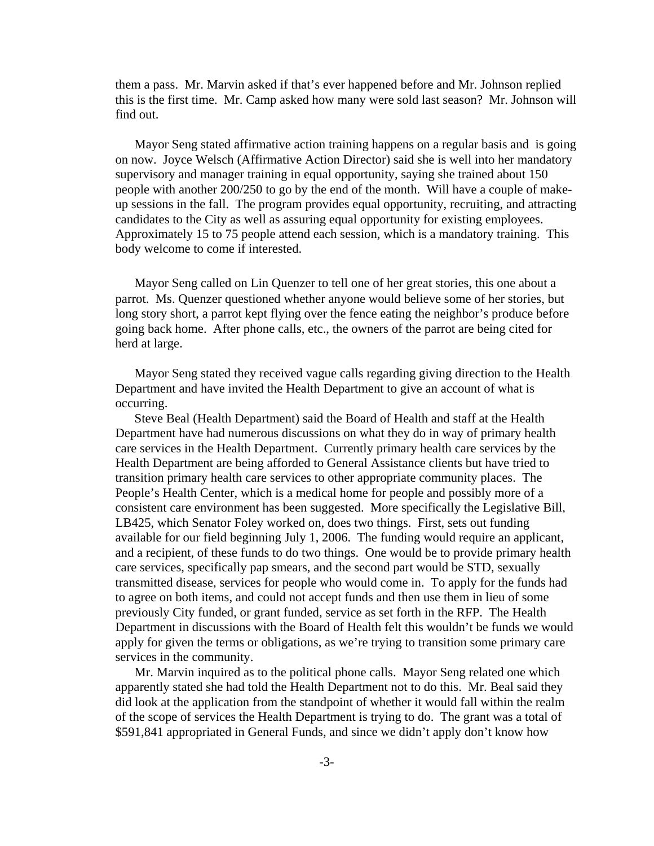them a pass. Mr. Marvin asked if that's ever happened before and Mr. Johnson replied this is the first time. Mr. Camp asked how many were sold last season? Mr. Johnson will find out.

Mayor Seng stated affirmative action training happens on a regular basis and is going on now. Joyce Welsch (Affirmative Action Director) said she is well into her mandatory supervisory and manager training in equal opportunity, saying she trained about 150 people with another 200/250 to go by the end of the month. Will have a couple of makeup sessions in the fall. The program provides equal opportunity, recruiting, and attracting candidates to the City as well as assuring equal opportunity for existing employees. Approximately 15 to 75 people attend each session, which is a mandatory training. This body welcome to come if interested.

Mayor Seng called on Lin Quenzer to tell one of her great stories, this one about a parrot. Ms. Quenzer questioned whether anyone would believe some of her stories, but long story short, a parrot kept flying over the fence eating the neighbor's produce before going back home. After phone calls, etc., the owners of the parrot are being cited for herd at large.

Mayor Seng stated they received vague calls regarding giving direction to the Health Department and have invited the Health Department to give an account of what is occurring.

Steve Beal (Health Department) said the Board of Health and staff at the Health Department have had numerous discussions on what they do in way of primary health care services in the Health Department. Currently primary health care services by the Health Department are being afforded to General Assistance clients but have tried to transition primary health care services to other appropriate community places. The People's Health Center, which is a medical home for people and possibly more of a consistent care environment has been suggested. More specifically the Legislative Bill, LB425, which Senator Foley worked on, does two things. First, sets out funding available for our field beginning July 1, 2006. The funding would require an applicant, and a recipient, of these funds to do two things. One would be to provide primary health care services, specifically pap smears, and the second part would be STD, sexually transmitted disease, services for people who would come in. To apply for the funds had to agree on both items, and could not accept funds and then use them in lieu of some previously City funded, or grant funded, service as set forth in the RFP. The Health Department in discussions with the Board of Health felt this wouldn't be funds we would apply for given the terms or obligations, as we're trying to transition some primary care services in the community.

Mr. Marvin inquired as to the political phone calls. Mayor Seng related one which apparently stated she had told the Health Department not to do this. Mr. Beal said they did look at the application from the standpoint of whether it would fall within the realm of the scope of services the Health Department is trying to do. The grant was a total of \$591,841 appropriated in General Funds, and since we didn't apply don't know how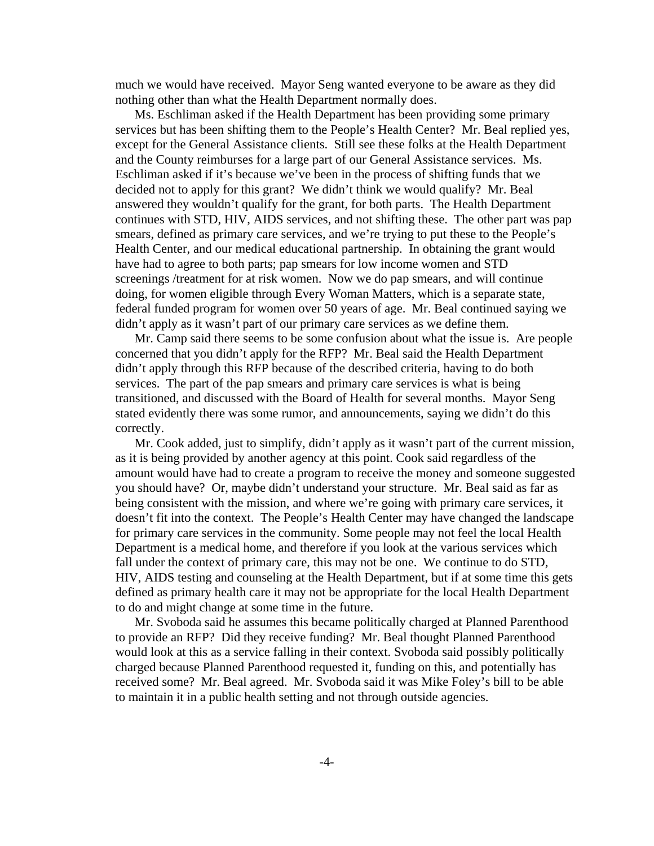much we would have received. Mayor Seng wanted everyone to be aware as they did nothing other than what the Health Department normally does.

Ms. Eschliman asked if the Health Department has been providing some primary services but has been shifting them to the People's Health Center? Mr. Beal replied yes, except for the General Assistance clients. Still see these folks at the Health Department and the County reimburses for a large part of our General Assistance services. Ms. Eschliman asked if it's because we've been in the process of shifting funds that we decided not to apply for this grant? We didn't think we would qualify? Mr. Beal answered they wouldn't qualify for the grant, for both parts. The Health Department continues with STD, HIV, AIDS services, and not shifting these. The other part was pap smears, defined as primary care services, and we're trying to put these to the People's Health Center, and our medical educational partnership. In obtaining the grant would have had to agree to both parts; pap smears for low income women and STD screenings /treatment for at risk women. Now we do pap smears, and will continue doing, for women eligible through Every Woman Matters, which is a separate state, federal funded program for women over 50 years of age. Mr. Beal continued saying we didn't apply as it wasn't part of our primary care services as we define them.

Mr. Camp said there seems to be some confusion about what the issue is. Are people concerned that you didn't apply for the RFP? Mr. Beal said the Health Department didn't apply through this RFP because of the described criteria, having to do both services. The part of the pap smears and primary care services is what is being transitioned, and discussed with the Board of Health for several months. Mayor Seng stated evidently there was some rumor, and announcements, saying we didn't do this correctly.

Mr. Cook added, just to simplify, didn't apply as it wasn't part of the current mission, as it is being provided by another agency at this point. Cook said regardless of the amount would have had to create a program to receive the money and someone suggested you should have? Or, maybe didn't understand your structure. Mr. Beal said as far as being consistent with the mission, and where we're going with primary care services, it doesn't fit into the context. The People's Health Center may have changed the landscape for primary care services in the community. Some people may not feel the local Health Department is a medical home, and therefore if you look at the various services which fall under the context of primary care, this may not be one. We continue to do STD, HIV, AIDS testing and counseling at the Health Department, but if at some time this gets defined as primary health care it may not be appropriate for the local Health Department to do and might change at some time in the future.

Mr. Svoboda said he assumes this became politically charged at Planned Parenthood to provide an RFP? Did they receive funding? Mr. Beal thought Planned Parenthood would look at this as a service falling in their context. Svoboda said possibly politically charged because Planned Parenthood requested it, funding on this, and potentially has received some? Mr. Beal agreed. Mr. Svoboda said it was Mike Foley's bill to be able to maintain it in a public health setting and not through outside agencies.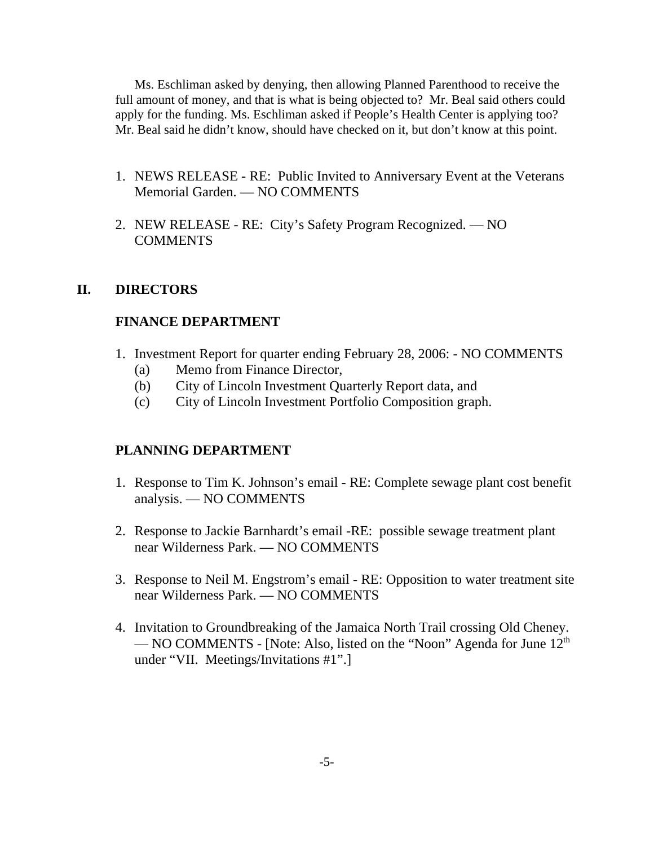Ms. Eschliman asked by denying, then allowing Planned Parenthood to receive the full amount of money, and that is what is being objected to? Mr. Beal said others could apply for the funding. Ms. Eschliman asked if People's Health Center is applying too? Mr. Beal said he didn't know, should have checked on it, but don't know at this point.

- 1. NEWS RELEASE RE: Public Invited to Anniversary Event at the Veterans Memorial Garden. — NO COMMENTS
- 2. NEW RELEASE RE: City's Safety Program Recognized. NO COMMENTS

## **II. DIRECTORS**

## **FINANCE DEPARTMENT**

- 1. Investment Report for quarter ending February 28, 2006: NO COMMENTS
	- (a) Memo from Finance Director,
	- (b) City of Lincoln Investment Quarterly Report data, and
	- (c) City of Lincoln Investment Portfolio Composition graph.

## **PLANNING DEPARTMENT**

- 1. Response to Tim K. Johnson's email RE: Complete sewage plant cost benefit analysis. — NO COMMENTS
- 2. Response to Jackie Barnhardt's email -RE: possible sewage treatment plant near Wilderness Park. — NO COMMENTS
- 3. Response to Neil M. Engstrom's email RE: Opposition to water treatment site near Wilderness Park. — NO COMMENTS
- 4. Invitation to Groundbreaking of the Jamaica North Trail crossing Old Cheney. — NO COMMENTS - [Note: Also, listed on the "Noon" Agenda for June  $12<sup>th</sup>$ under "VII. Meetings/Invitations #1".]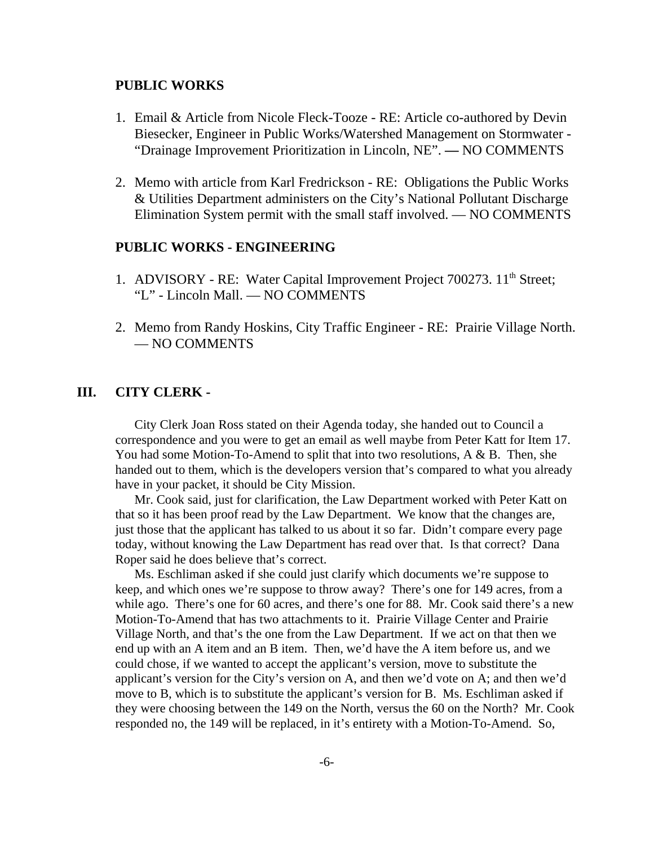#### **PUBLIC WORKS**

- 1. Email & Article from Nicole Fleck-Tooze RE: Article co-authored by Devin Biesecker, Engineer in Public Works/Watershed Management on Stormwater - "Drainage Improvement Prioritization in Lincoln, NE". **—** NO COMMENTS
- 2. Memo with article from Karl Fredrickson RE: Obligations the Public Works & Utilities Department administers on the City's National Pollutant Discharge Elimination System permit with the small staff involved. — NO COMMENTS

#### **PUBLIC WORKS - ENGINEERING**

- 1. ADVISORY RE: Water Capital Improvement Project 700273. 11<sup>th</sup> Street; "L" - Lincoln Mall. — NO COMMENTS
- 2. Memo from Randy Hoskins, City Traffic Engineer RE: Prairie Village North. — NO COMMENTS

#### **III. CITY CLERK -**

City Clerk Joan Ross stated on their Agenda today, she handed out to Council a correspondence and you were to get an email as well maybe from Peter Katt for Item 17. You had some Motion-To-Amend to split that into two resolutions, A & B. Then, she handed out to them, which is the developers version that's compared to what you already have in your packet, it should be City Mission.

Mr. Cook said, just for clarification, the Law Department worked with Peter Katt on that so it has been proof read by the Law Department. We know that the changes are, just those that the applicant has talked to us about it so far. Didn't compare every page today, without knowing the Law Department has read over that. Is that correct? Dana Roper said he does believe that's correct.

Ms. Eschliman asked if she could just clarify which documents we're suppose to keep, and which ones we're suppose to throw away? There's one for 149 acres, from a while ago. There's one for 60 acres, and there's one for 88. Mr. Cook said there's a new Motion-To-Amend that has two attachments to it. Prairie Village Center and Prairie Village North, and that's the one from the Law Department. If we act on that then we end up with an A item and an B item. Then, we'd have the A item before us, and we could chose, if we wanted to accept the applicant's version, move to substitute the applicant's version for the City's version on A, and then we'd vote on A; and then we'd move to B, which is to substitute the applicant's version for B. Ms. Eschliman asked if they were choosing between the 149 on the North, versus the 60 on the North? Mr. Cook responded no, the 149 will be replaced, in it's entirety with a Motion-To-Amend. So,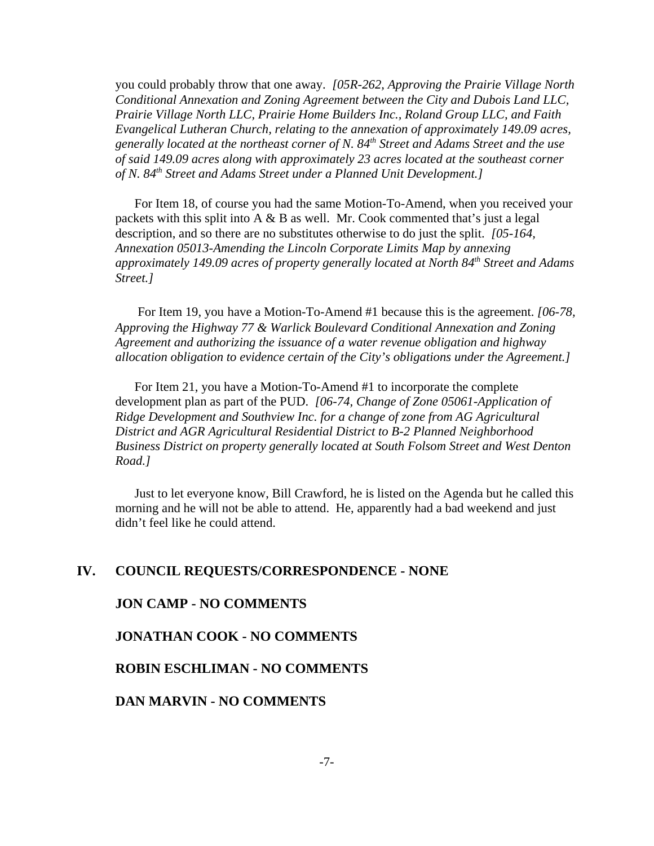you could probably throw that one away. *[05R-262, Approving the Prairie Village North Conditional Annexation and Zoning Agreement between the City and Dubois Land LLC, Prairie Village North LLC, Prairie Home Builders Inc., Roland Group LLC, and Faith Evangelical Lutheran Church, relating to the annexation of approximately 149.09 acres, generally located at the northeast corner of N. 84th Street and Adams Street and the use of said 149.09 acres along with approximately 23 acres located at the southeast corner of N. 84th Street and Adams Street under a Planned Unit Development.]* 

For Item 18, of course you had the same Motion-To-Amend, when you received your packets with this split into A  $\&$  B as well. Mr. Cook commented that's just a legal description, and so there are no substitutes otherwise to do just the split. *[05-164, Annexation 05013-Amending the Lincoln Corporate Limits Map by annexing approximately 149.09 acres of property generally located at North 84th Street and Adams Street.]* 

 For Item 19, you have a Motion-To-Amend #1 because this is the agreement. *[06-78, Approving the Highway 77 & Warlick Boulevard Conditional Annexation and Zoning Agreement and authorizing the issuance of a water revenue obligation and highway allocation obligation to evidence certain of the City's obligations under the Agreement.]* 

For Item 21, you have a Motion-To-Amend #1 to incorporate the complete development plan as part of the PUD. *[06-74, Change of Zone 05061-Application of Ridge Development and Southview Inc. for a change of zone from AG Agricultural District and AGR Agricultural Residential District to B-2 Planned Neighborhood Business District on property generally located at South Folsom Street and West Denton Road.]* 

Just to let everyone know, Bill Crawford, he is listed on the Agenda but he called this morning and he will not be able to attend. He, apparently had a bad weekend and just didn't feel like he could attend.

#### **IV. COUNCIL REQUESTS/CORRESPONDENCE - NONE**

#### **JON CAMP - NO COMMENTS**

#### **JONATHAN COOK - NO COMMENTS**

#### **ROBIN ESCHLIMAN - NO COMMENTS**

**DAN MARVIN - NO COMMENTS**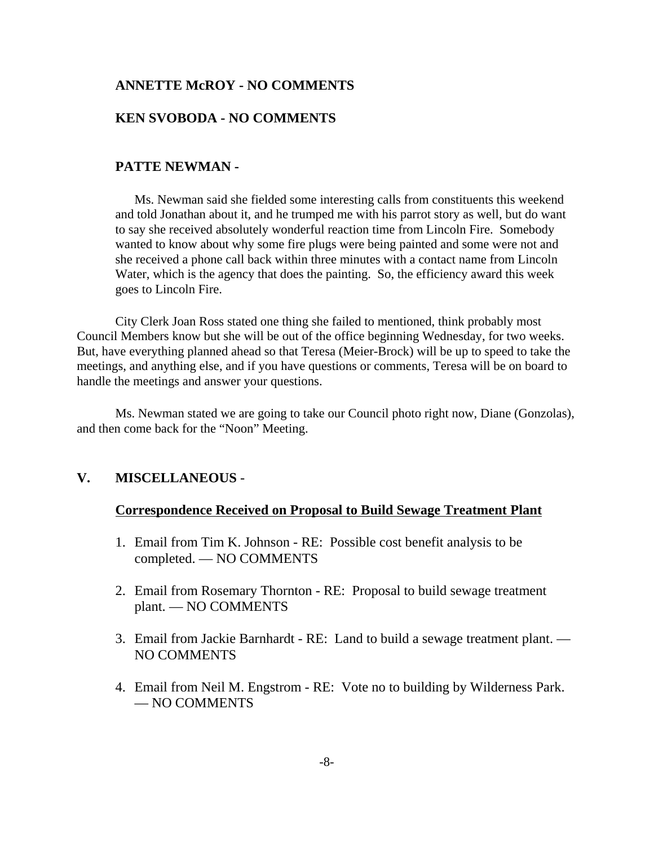#### **ANNETTE McROY - NO COMMENTS**

## **KEN SVOBODA - NO COMMENTS**

#### **PATTE NEWMAN -**

Ms. Newman said she fielded some interesting calls from constituents this weekend and told Jonathan about it, and he trumped me with his parrot story as well, but do want to say she received absolutely wonderful reaction time from Lincoln Fire. Somebody wanted to know about why some fire plugs were being painted and some were not and she received a phone call back within three minutes with a contact name from Lincoln Water, which is the agency that does the painting. So, the efficiency award this week goes to Lincoln Fire.

City Clerk Joan Ross stated one thing she failed to mentioned, think probably most Council Members know but she will be out of the office beginning Wednesday, for two weeks. But, have everything planned ahead so that Teresa (Meier-Brock) will be up to speed to take the meetings, and anything else, and if you have questions or comments, Teresa will be on board to handle the meetings and answer your questions.

Ms. Newman stated we are going to take our Council photo right now, Diane (Gonzolas), and then come back for the "Noon" Meeting.

#### **V. MISCELLANEOUS** -

#### **Correspondence Received on Proposal to Build Sewage Treatment Plant**

- 1. Email from Tim K. Johnson RE: Possible cost benefit analysis to be completed. — NO COMMENTS
- 2. Email from Rosemary Thornton RE: Proposal to build sewage treatment plant. — NO COMMENTS
- 3. Email from Jackie Barnhardt RE: Land to build a sewage treatment plant. NO COMMENTS
- 4. Email from Neil M. Engstrom RE: Vote no to building by Wilderness Park. — NO COMMENTS